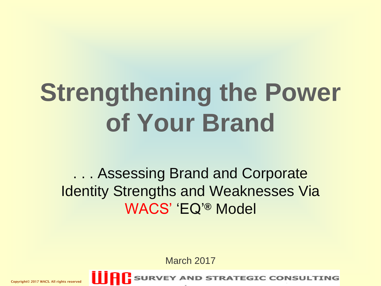# **Strengthening the Power of Your Brand**

... Assessing Brand and Corporate **Identity Strengths and Weaknesses Via** WACS' 'EQ'**®** Model

March 2017



**SURVEY AND STRATEGIC CONSULTING**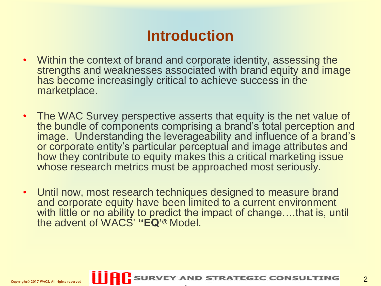### **Introduction**

- Within the context of brand and corporate identity, assessing the strengths and weaknesses associated with brand equity and image has become increasingly critical to achieve success in the marketplace.
- The WAC Survey perspective asserts that equity is the net value of the bundle of components comprising a brand's total perception and image. Understanding the leverageability and influence of a brand's or corporate entity's particular perceptual and image attributes and how they contribute to equity makes this a critical marketing issue whose research metrics must be approached most seriously.
- Until now, most research techniques designed to measure brand and corporate equity have been limited to a current environment with little or no ability to predict the impact of change….that is, until the advent of WACS' **''EQ'®** Model.

2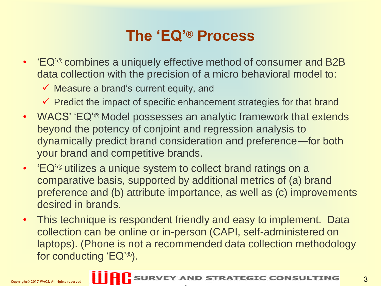### **The 'EQ'® Process**

- 'EQ<sup>'®</sup> combines a uniquely effective method of consumer and B2B data collection with the precision of a micro behavioral model to:
	- $\checkmark$  Measure a brand's current equity, and
	- $\checkmark$  Predict the impact of specific enhancement strategies for that brand
- WACS' 'EQ'® Model possesses an analytic framework that extends beyond the potency of conjoint and regression analysis to dynamically predict brand consideration and preference―for both your brand and competitive brands.
- 'EQ<sup>'®</sup> utilizes a unique system to collect brand ratings on a comparative basis, supported by additional metrics of (a) brand preference and (b) attribute importance, as well as (c) improvements desired in brands.
- This technique is respondent friendly and easy to implement. Data collection can be online or in-person (CAPI, self-administered on laptops). (Phone is not a recommended data collection methodology for conducting 'EQ'®).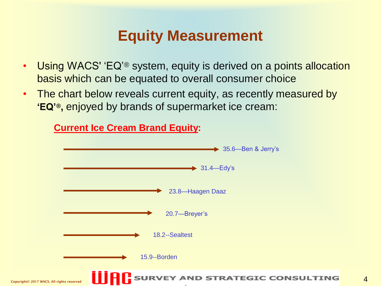#### **Equity Measurement**

- Using WACS' 'EQ'<sup>®</sup> system, equity is derived on a points allocation basis which can be equated to overall consumer choice
- The chart below reveals current equity, as recently measured by **'EQ'® ,** enjoyed by brands of supermarket ice cream:

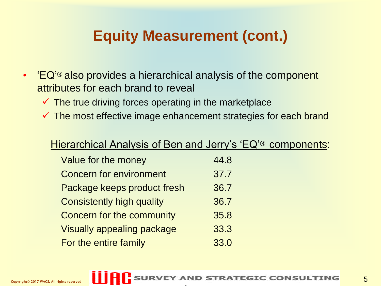# **Equity Measurement (cont.)**

- 'EQ'<sup>®</sup> also provides a hierarchical analysis of the component attributes for each brand to reveal
	- $\checkmark$  The true driving forces operating in the marketplace
	- $\checkmark$  The most effective image enhancement strategies for each brand

#### Hierarchical Analysis of Ben and Jerry's 'EQ'® components:

| Value for the money               | 44.8 |
|-----------------------------------|------|
| <b>Concern for environment</b>    | 37.7 |
| Package keeps product fresh       | 36.7 |
| <b>Consistently high quality</b>  | 36.7 |
| <b>Concern for the community</b>  | 35.8 |
| <b>Visually appealing package</b> | 33.3 |
| For the entire family             | 33.0 |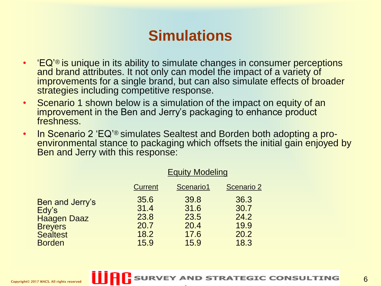#### **Simulations**

- 'EQ'<sup>®</sup> is unique in its ability to simulate changes in consumer perceptions and brand attributes. It not only can model the impact of a variety of improvements for a single brand, but can also simulate effects of broader strategies including competitive response.
- Scenario 1 shown below is a simulation of the impact on equity of an improvement in the Ben and Jerry's packaging to enhance product freshness.
- In Scenario 2 'EQ'® simulates Sealtest and Borden both adopting a proenvironmental stance to packaging which offsets the initial gain enjoyed by Ben and Jerry with this response:

|                                                                                                      | <b>Equity Modeling</b>                       |                                              |                                              |
|------------------------------------------------------------------------------------------------------|----------------------------------------------|----------------------------------------------|----------------------------------------------|
|                                                                                                      | <b>Current</b>                               | Scenario1                                    | <b>Scenario 2</b>                            |
| Ben and Jerry's<br>Edy's<br><b>Haagen Daaz</b><br><b>Breyers</b><br><b>Sealtest</b><br><b>Borden</b> | 35.6<br>31.4<br>23.8<br>20.7<br>18.2<br>15.9 | 39.8<br>31.6<br>23.5<br>20.4<br>17.6<br>15.9 | 36.3<br>30.7<br>24.2<br>19.9<br>20.2<br>18.3 |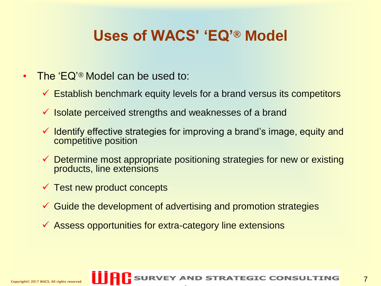### **Uses of WACS' 'EQ'® Model**

- The 'EQ'® Model can be used to:
	- $\checkmark$  Establish benchmark equity levels for a brand versus its competitors
	- Isolate perceived strengths and weaknesses of a brand
	- $\checkmark$  Identify effective strategies for improving a brand's image, equity and competitive position
	- $\checkmark$  Determine most appropriate positioning strategies for new or existing products, line extensions
	- $\checkmark$  Test new product concepts
	- Guide the development of advertising and promotion strategies
	- $\checkmark$  Assess opportunities for extra-category line extensions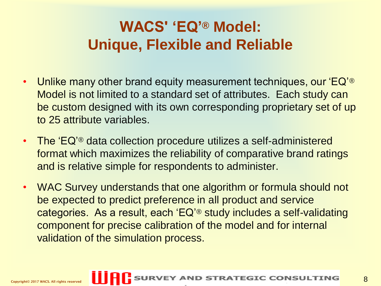# **WACS' 'EQ'® Model: Unique, Flexible and Reliable**

- Unlike many other brand equity measurement techniques, our 'EQ'<sup>®</sup> Model is not limited to a standard set of attributes. Each study can be custom designed with its own corresponding proprietary set of up to 25 attribute variables.
- The 'EQ'<sup>®</sup> data collection procedure utilizes a self-administered format which maximizes the reliability of comparative brand ratings and is relative simple for respondents to administer.
- WAC Survey understands that one algorithm or formula should not be expected to predict preference in all product and service categories. As a result, each 'EQ'® study includes a self-validating component for precise calibration of the model and for internal validation of the simulation process.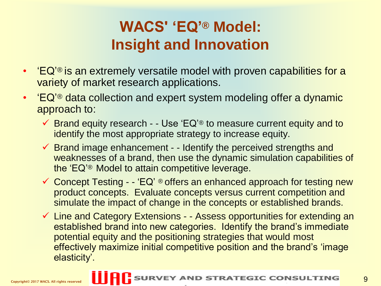# **WACS' 'EQ'® Model: Insight and Innovation**

- 'EQ<sup>'®</sup> is an extremely versatile model with proven capabilities for a variety of market research applications.
- 'EQ'<sup>®</sup> data collection and expert system modeling offer a dynamic approach to:
	- $\checkmark$  Brand equity research - Use 'EQ'<sup>®</sup> to measure current equity and to identify the most appropriate strategy to increase equity.
	- $\checkmark$  Brand image enhancement - Identify the perceived strengths and weaknesses of a brand, then use the dynamic simulation capabilities of the 'EQ'® Model to attain competitive leverage.
	- $\checkmark$  Concept Testing  $\checkmark$  EQ' ® offers an enhanced approach for testing new product concepts. Evaluate concepts versus current competition and simulate the impact of change in the concepts or established brands.
	- $\checkmark$  Line and Category Extensions - Assess opportunities for extending an established brand into new categories. Identify the brand's immediate potential equity and the positioning strategies that would most effectively maximize initial competitive position and the brand's 'image elasticity'.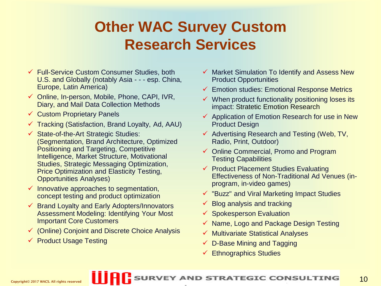# **Other WAC Survey Custom Research Services**

- Full-Service Custom Consumer Studies, both U.S. and Globally (notably Asia - - - esp. China, Europe, Latin America)
- $\checkmark$  Online, In-person, Mobile, Phone, CAPI, IVR, Diary, and Mail Data Collection Methods
- $\checkmark$  Custom Proprietary Panels
- $\checkmark$  Tracking (Satisfaction, Brand Loyalty, Ad, AAU)
- $\checkmark$  State-of-the-Art Strategic Studies: (Segmentation, Brand Architecture, Optimized Positioning and Targeting, Competitive Intelligence, Market Structure, Motivational Studies, Strategic Messaging Optimization, Price Optimization and Elasticity Testing, Opportunities Analyses)
- $\checkmark$  Innovative approaches to segmentation, concept testing and product optimization
- $\checkmark$  Brand Loyalty and Early Adopters/Innovators Assessment Modeling: Identifying Your Most Important Core Customers
- (Online) Conjoint and Discrete Choice Analysis
- $\checkmark$  Product Usage Testing
- Market Simulation To Identify and Assess New Product Opportunities
- Emotion studies: Emotional Response Metrics
- When product functionality positioning loses its impact: Stratetic Emotion Research
- $\checkmark$  Application of Emotion Research for use in New Product Design
- $\checkmark$  Advertising Research and Testing (Web, TV, Radio, Print, Outdoor)
- Online Commercial, Promo and Program Testing Capabilities
- $\checkmark$  Product Placement Studies Evaluating Effectiveness of Non-Traditional Ad Venues (inprogram, in-video games)
- "Buzz" and Viral Marketing Impact Studies
- Blog analysis and tracking
- $\checkmark$  Spokesperson Evaluation
- $\checkmark$  Name, Logo and Package Design Testing
- Multivariate Statistical Analyses
- $\checkmark$  D-Base Mining and Tagging
- Ethnographics Studies